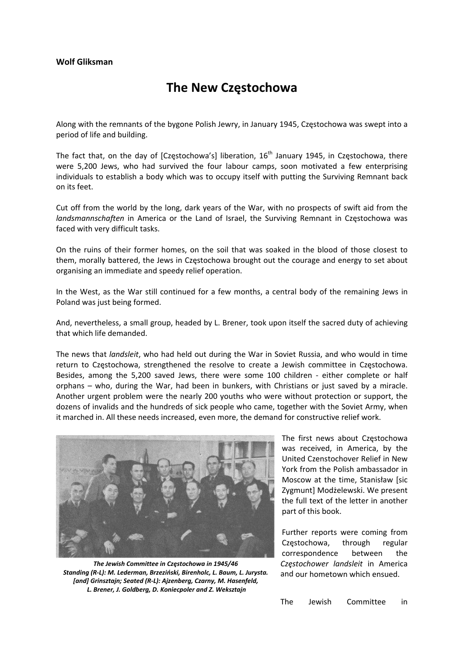## **The New Częstochowa**

Along with the remnants of the bygone Polish Jewry, in January 1945, Częstochowa was swept into a period of life and building.

The fact that, on the day of [Częstochowa's] liberation, 16<sup>th</sup> January 1945, in Częstochowa, there were 5,200 Jews, who had survived the four labour camps, soon motivated a few enterprising individuals to establish a body which was to occupy itself with putting the Surviving Remnant back on its feet.

Cut off from the world by the long, dark years of the War, with no prospects of swift aid from the *landsmannschaften* in America or the Land of Israel, the Surviving Remnant in Częstochowa was faced with very difficult tasks.

On the ruins of their former homes, on the soil that was soaked in the blood of those closest to them, morally battered, the Jews in Częstochowa brought out the courage and energy to set about organising an immediate and speedy relief operation.

In the West, as the War still continued for a few months, a central body of the remaining Jews in Poland was just being formed.

And, nevertheless, a small group, headed by L. Brener, took upon itself the sacred duty of achieving that which life demanded.

The news that *landsleit*, who had held out during the War in Soviet Russia, and who would in time return to Częstochowa, strengthened the resolve to create a Jewish committee in Częstochowa. Besides, among the 5,200 saved Jews, there were some 100 children - either complete or half orphans – who, during the War, had been in bunkers, with Christians or just saved by a miracle. Another urgent problem were the nearly 200 youths who were without protection or support, the dozens of invalids and the hundreds of sick people who came, together with the Soviet Army, when it marched in. All these needs increased, even more, the demand for constructive relief work.



*The Jewish Committee in Częstochowa in 1945/46 Standing (R‐L): M. Lederman, Brzeziński, Birenholc, L. Baum, L. Jurysta. [and] Grinsztajn; Seated (R‐L): Ajzenberg, Czarny, M. Hasenfeld, L. Brener, J. Goldberg, D. Koniecpoler and Z. Weksztajn* 

The first news about Częstochowa was received, in America, by the United Czenstochover Relief in New York from the Polish ambassador in Moscow at the time, Stanisław [sic Zygmunt] Modżelewski. We present the full text of the letter in another part of this book.

Further reports were coming from Częstochowa, through regular correspondence between the *Częstochower landsleit* in America and our hometown which ensued.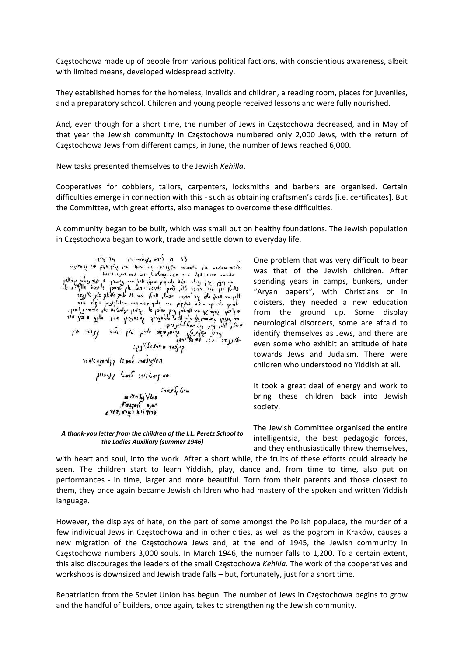Częstochowa made up of people from various political factions, with conscientious awareness, albeit with limited means, developed widespread activity.

They established homes for the homeless, invalids and children, a reading room, places for juveniles, and a preparatory school. Children and young people received lessons and were fully nourished.

And, even though for a short time, the number of Jews in Częstochowa decreased, and in May of that year the Jewish community in Częstochowa numbered only 2,000 Jews, with the return of Częstochowa Jews from different camps, in June, the number of Jews reached 6,000.

New tasks presented themselves to the Jewish *Kehilla*.

Cooperatives for cobblers, tailors, carpenters, locksmiths and barbers are organised. Certain difficulties emerge in connection with this ‐ such as obtaining craftsmen's cards [i.e. certificates]. But the Committee, with great efforts, also manages to overcome these difficulties.

A community began to be built, which was small but on healthy foundations. The Jewish population in Częstochowa began to work, trade and settle down to everyday life.

 $. r_1 \cdot r_2$ El en Tres officiers in أصلحت بالبرا بهكم فيلم الجلد ومعاونا dear molnes all the senior whyeve. form signs and عامضه احصان الهاه اعاندا فهاكر معتاد בי פרויון, ולקלם בידי בקלו, קבטיבל חייל בבור בייצור בריטון.<br>חייון חוד בידי בן לאון, ביינך של הקיילוגיה בידי בידי כל הקבל נולל ובני ל.<br>חייון חוד בידי בן לאון, ביינך של הקיילוגיה בלון של הקבל בלון אובני ל.<br>חייון חוד האלילוג  $\begin{pmatrix} \mu_0 & \mu_1 & \mu_2 & \mu_3 & \mu_4 & \mu_5 & \mu_6 & \mu_7 & \mu_8 & \mu_9 & \mu_1 & \mu_1 & \mu_2 & \mu_3 & \mu_4 & \mu_5 & \mu_7 & \mu_8 & \mu_7 & \mu_8 & \mu_9 & \mu_9 & \mu_1 & \mu_1 & \mu_1 & \mu_2 & \mu_3 & \mu_7 & \mu_7 & \mu_7 & \mu_7 & \mu_8 & \mu_7 & \mu_7 & \mu_8 & \mu_7 & \mu_8 & \mu_8 & \mu_7 & \mu_8 & \mu_7 & \mu_8 & \mu_8$  $P_{12}$  $J^{\prime 0}$   $\sim$   $3J^{\prime}$  $\mathbf{u}$ gisker osersky: Deployedly Roof religious os Good sile loop so ري<br>Ser Biology (Ser Biology)<br>المعروفية المعروفية  $T_{\mathcal{F} \mathcal{F} \mathcal{F} \mathcal{F}}$   $R_{\mathcal{F}}$ ברה לא ואיצורדי

*A thank‐you letter from the children of the I.L. Peretz School to the Ladies Auxiliary (summer 1946)*

One problem that was very difficult to bear was that of the Jewish children. After spending years in camps, bunkers, under "Aryan papers", with Christians or in cloisters, they needed a new education from the ground up. Some display neurological disorders, some are afraid to identify themselves as Jews, and there are even some who exhibit an attitude of hate towards Jews and Judaism. There were children who understood no Yiddish at all.

It took a great deal of energy and work to bring these children back into Jewish society.

The Jewish Committee organised the entire intelligentsia, the best pedagogic forces, and they enthusiastically threw themselves,

with heart and soul, into the work. After a short while, the fruits of these efforts could already be seen. The children start to learn Yiddish, play, dance and, from time to time, also put on performances ‐ in time, larger and more beautiful. Torn from their parents and those closest to them, they once again became Jewish children who had mastery of the spoken and written Yiddish language.

However, the displays of hate, on the part of some amongst the Polish populace, the murder of a few individual Jews in Częstochowa and in other cities, as well as the pogrom in Kraków, causes a new migration of the Częstochowa Jews and, at the end of 1945, the Jewish community in Częstochowa numbers 3,000 souls. In March 1946, the number falls to 1,200. To a certain extent, this also discourages the leaders of the small Częstochowa *Kehilla*. The work of the cooperatives and workshops is downsized and Jewish trade falls – but, fortunately, just for a short time.

Repatriation from the Soviet Union has begun. The number of Jews in Częstochowa begins to grow and the handful of builders, once again, takes to strengthening the Jewish community.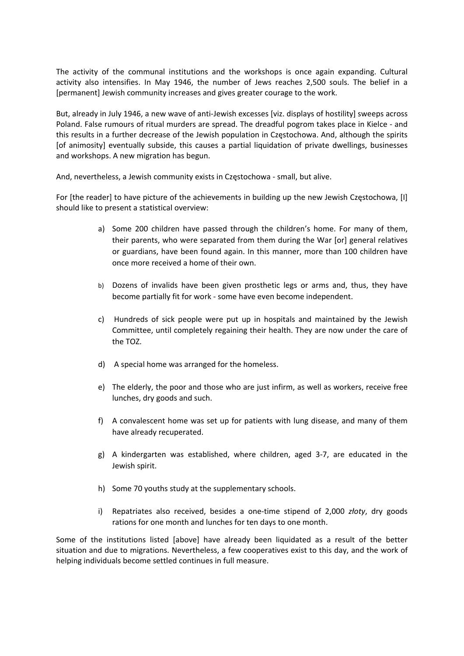The activity of the communal institutions and the workshops is once again expanding. Cultural activity also intensifies. In May 1946, the number of Jews reaches 2,500 souls. The belief in a [permanent] Jewish community increases and gives greater courage to the work.

But, already in July 1946, a new wave of anti‐Jewish excesses [viz. displays of hostility] sweeps across Poland. False rumours of ritual murders are spread. The dreadful pogrom takes place in Kielce ‐ and this results in a further decrease of the Jewish population in Częstochowa. And, although the spirits [of animosity] eventually subside, this causes a partial liquidation of private dwellings, businesses and workshops. A new migration has begun.

And, nevertheless, a Jewish community exists in Częstochowa ‐ small, but alive.

For [the reader] to have picture of the achievements in building up the new Jewish Częstochowa, [I] should like to present a statistical overview:

- a) Some 200 children have passed through the children's home. For many of them, their parents, who were separated from them during the War [or] general relatives or guardians, have been found again. In this manner, more than 100 children have once more received a home of their own.
- b) Dozens of invalids have been given prosthetic legs or arms and, thus, they have become partially fit for work ‐ some have even become independent.
- c) Hundreds of sick people were put up in hospitals and maintained by the Jewish Committee, until completely regaining their health. They are now under the care of the TOZ.
- d) A special home was arranged for the homeless.
- e) The elderly, the poor and those who are just infirm, as well as workers, receive free lunches, dry goods and such.
- f) A convalescent home was set up for patients with lung disease, and many of them have already recuperated.
- g) A kindergarten was established, where children, aged 3‐7, are educated in the Jewish spirit.
- h) Some 70 youths study at the supplementary schools.
- i) Repatriates also received, besides a one‐time stipend of 2,000 *złoty*, dry goods rations for one month and lunches for ten days to one month.

Some of the institutions listed [above] have already been liquidated as a result of the better situation and due to migrations. Nevertheless, a few cooperatives exist to this day, and the work of helping individuals become settled continues in full measure.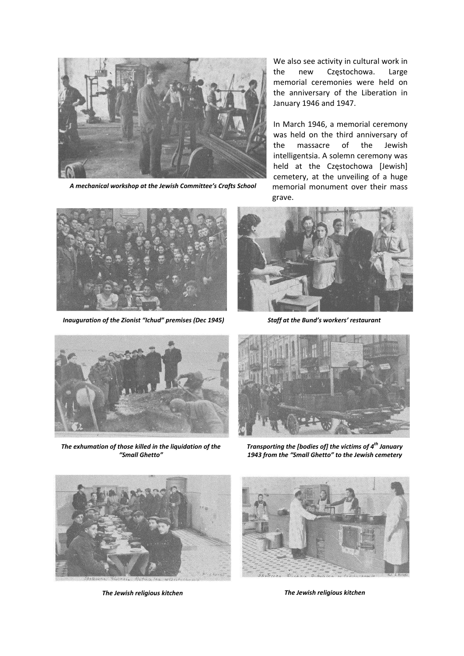

*A mechanical workshop at the Jewish Committee's Crafts School*

We also see activity in cultural work in the new Częstochowa. Large memorial ceremonies were held on the anniversary of the Liberation in January 1946 and 1947.

In March 1946, a memorial ceremony was held on the third anniversary of the massacre of the Jewish intelligentsia. A solemn ceremony was held at the Częstochowa [Jewish] cemetery, at the unveiling of a huge memorial monument over their mass grave.



*Inauguration of the Zionist "Ichud" premises (Dec 1945) Staff at the Bund's workers' restaurant*





*The exhumation of those killed in the liquidation of the "Small Ghetto"*



*Transporting the [bodies of] the victims of 4th January 1943 from the "Small Ghetto" to the Jewish cemetery*



*The Jewish religious kitchen*



*The Jewish religious kitchen*